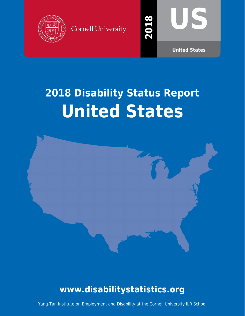





**2018**

**United States**

# **2018 Disability Status Report United States**



# **www.disabilitystatistics.org**

Yang-Tan Institute on Employment and Disability at the Cornell University ILR School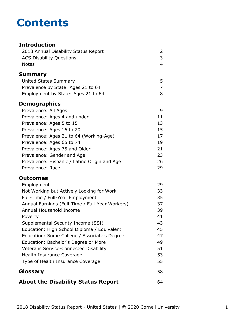# **Contents**

#### **Introduction** [2018 Annual Disability Status Report](#page-2-0) 2 [ACS Disability Questions](#page-3-0) 3 [Notes](#page-4-0) 4 **[Summary](#page-5-0)** [United States Summary](#page-5-0) 5 [Prevalence by State: Ages 21 to 64](#page-7-0) 7 [Employment by State: Ages 21 to 64](#page-8-0) 8 **Demographics** [Prevalence: All Ages](#page-9-0) 9 [Prevalence: Ages 4 and under](#page-11-0) 11 [Prevalence: Ages 5 to 15](#page-13-0) 13 [Prevalence: Ages 16 to 20](#page-15-0) 15 [Prevalence: Ages 21 to 64 \(Working-Age\)](#page-17-0) 17 [Prevalence: Ages 65 to 74](#page-19-0) 19 [Prevalence: Ages 75 and Older](#page-21-0) 21 [Prevalence: Gender and Age](#page-23-0) 23 [Prevalence: Hispanic / Latino Origin and Age](#page-26-0) 26 [Prevalence: Race](#page-29-0) 29 **Outcomes** [Employment](#page-31-0) 29 [Not Working but Actively Looking for Work](#page-33-0) 33 [Full-Time / Full-Year Employment](#page-35-0) 35 [Annual Earnings \(Full-Time / Full-Year Workers\)](#page-37-0) 37 [Annual Household Income](#page-39-0) 39 [Poverty](#page-41-0) 41 [Supplemental Security Income \(SSI\)](#page-43-0) 43 [Education: High School Diploma / Equivalent](#page-45-0) 45 [Education: Some College / Associate's Degree](#page-47-0) 47 [Education: Bachelor's Degree or More](#page-49-0) **1988** [Veterans Service-Connected Disability](#page-51-0) 51 [Health Insurance Coverage](#page-53-0) 63 and 53 [Type of Health Insurance Coverage](#page-55-0) 55 **[Glossary](#page-58-0)** 58 **[About the Disability Status Report](#page-64-0)** 64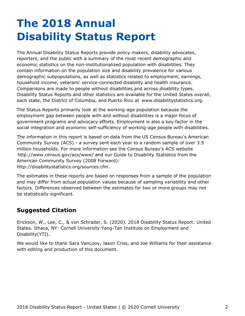# <span id="page-2-0"></span>**The 2018 Annual Disability Status Report**

The Annual Disability Status Reports provide policy makers, disability advocates, reporters, and the public with a summary of the most recent demographic and economic statistics on the non-institutionalized population with disabilities. They contain information on the population size and disability prevalence for various demographic subpopulations, as well as statistics related to employment, earnings, household income, veterans' service-connected disability and health insurance. Comparisons are made to people without disabilities and across disability types. Disability Status Reports and other statistics are available for the United States overall, each state, the District of Columbia, and Puerto Rico at [www.disabilitystatistics.org](http://www.disabilitystatistics.org).

The Status Reports primarily look at the working-age population because the employment gap between people with and without disabilities is a major focus of government programs and advocacy efforts. Employment is also a key factor in the social integration and economic self-sufficiency of working-age people with disabilities.

The information in this report is based on data from the US Census Bureau's American Community Survey (ACS) - a survey sent each year to a random sample of over 3.5 million households. For more information see the Census Bureau's ACS website <http://www.census.gov/acs/www/> and our Guide to Disability Statistics from the American Community Survey (2008 Forward): <http://disabilitystatistics.org/sources.cfm>.

The estimates in these reports are based on responses from a sample of the population and may differ from actual population values because of sampling variability and other factors. Differences observed between the estimates for two or more groups may not be statistically significant.

### **Suggested Citation**

Erickson, W., Lee, C., & von Schrader, S. (2020). 2018 Disability Status Report: United States. Ithaca, NY: Cornell University Yang-Tan Institute on Employment and Disability(YTI).

We would like to thank Sara VanLooy, Jason Criss, and Joe Williams for their assistance with editing and production of this document.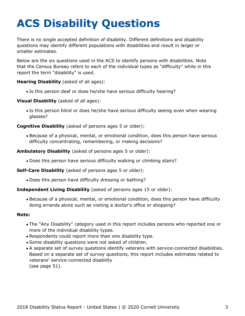# <span id="page-3-0"></span>**ACS Disability Questions**

There is no single accepted definition of disability. Different definitions and disability questions may identify different populations with disabilities and result in larger or smaller estimates.

Below are the six questions used in the ACS to identify persons with disabilities. Note that the Census Bureau refers to each of the individual types as "difficulty" while in this report the term "disability" is used.

**Hearing Disability** (asked of all ages):

Is this person deaf or does he/she have serious difficulty hearing?

**Visual Disability** (asked of all ages):

Is this person blind or does he/she have serious difficulty seeing even when wearing glasses?

**Cognitive Disability** (asked of persons ages 5 or older):

Because of a physical, mental, or emotional condition, does this person have serious difficulty concentrating, remembering, or making decisions?

**Ambulatory Disability** (asked of persons ages 5 or older):

Does this person have serious difficulty walking or climbing stairs?

**Self-Care Disability** (asked of persons ages 5 or older):

Does this person have difficulty dressing or bathing?

#### **Independent Living Disability** (asked of persons ages 15 or older):

Because of a physical, mental, or emotional condition, does this person have difficulty doing errands alone such as visiting a doctor's office or shopping?

#### **Note:**

- The "Any Disability" category used in this report includes persons who reported one or more of the individual disability types.
- Respondents could report more than one disability type.
- Some disability questions were not asked of children.
- A separate set of survey questions identify veterans with service-connected disabilities. Based on a separate set of survey questions, this report includes estimates related to veterans' service-connected disability (see page 51).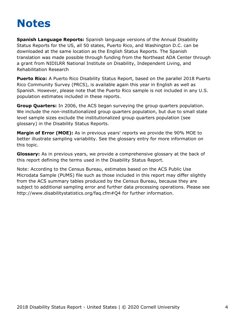# <span id="page-4-0"></span>**Notes**

**Spanish Language Reports:** Spanish language versions of the Annual Disability Status Reports for the US, all 50 states, Puerto Rico, and Washington D.C. can be downloaded at the same location as the English Status Reports. The Spanish translation was made possible through funding from the Northeast ADA Center through a grant from NIDILRR National Institute on Disability, Independent Living, and Rehabilitation Research

**Puerto Rico:** A Puerto Rico Disability Status Report, based on the parallel 2018 Puerto Rico Community Survey (PRCS), is available again this year in English as well as Spanish. However, please note that the Puerto Rico sample is not included in any U.S. population estimates included in these reports.

**Group Quarters:** In 2006, the ACS began surveying the group quarters population. We include the non-institutionalized group quarters population, but due to small state level sample sizes exclude the institutionalized group quarters population (see [glossary](#page-58-0)) in the Disability Status Reports.

**Margin of Error (MOE):** As in previous years' reports we provide the 90% MOE to better illustrate sampling variability. See the glossary entry for more information on this topic.

**Glossary:** As in previous years, we provide a comprehensive glossary at the back of this report defining the terms used in the Disability Status Report.

Note: According to the Census Bureau, estimates based on the ACS Public Use Microdata Sample (PUMS) file such as those included in this report may differ slightly from the ACS summary tables produced by the Census Bureau, because they are subject to additional sampling error and further data processing operations. Please see <http://www.disabilitystatistics.org/faq.cfm#Q4> for further information.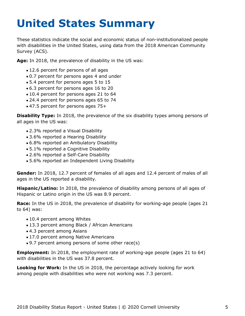# <span id="page-5-0"></span>**United States Summary**

These statistics indicate the social and economic status of non-institutionalized people with disabilities in the United States, using data from the 2018 American Community Survey (ACS).

**Age:** In 2018, the prevalence of disability in the US was:

- 12.6 percent for persons of all ages
- 0.7 percent for persons ages 4 and under
- 5.4 percent for persons ages 5 to 15
- 6.3 percent for persons ages 16 to 20
- 10.4 percent for persons ages 21 to 64
- 24.4 percent for persons ages 65 to 74
- 47.5 percent for persons ages 75+

**Disability Type:** In 2018, the prevalence of the six disability types among persons of all ages in the US was:

- 2.3% reported a Visual Disability
- 3.6% reported a Hearing Disability
- 6.8% reported an Ambulatory Disability
- 5.1% reported a Cognitive Disability
- 2.6% reported a Self-Care Disability
- 5.6% reported an Independent Living Disability

**Gender:** In 2018, 12.7 percent of females of all ages and 12.4 percent of males of all ages in the US reported a disability.

**Hispanic/Latino:** In 2018, the prevalence of disability among persons of all ages of Hispanic or Latino origin in the US was 8.9 percent.

**Race:** In the US in 2018, the prevalence of disability for working-age people (ages 21 to 64) was:

- 10.4 percent among Whites
- 13.3 percent among Black / African Americans
- 4.3 percent among Asians
- 17.0 percent among Native Americans
- 9.7 percent among persons of some other race(s)

**Employment:** In 2018, the employment rate of working-age people (ages 21 to 64) with disabilities in the US was 37.8 percent.

**Looking for Work:** In the US in 2018, the percentage actively looking for work among people with disabilities who were not working was 7.3 percent.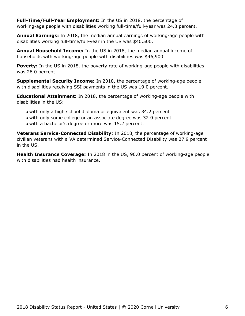**Full-Time/Full-Year Employment:** In the US in 2018, the percentage of working-age people with disabilities working full-time/full-year was 24.3 percent.

**Annual Earnings:** In 2018, the median annual earnings of working-age people with disabilities working full-time/full-year in the US was \$40,500.

**Annual Household Income:** In the US in 2018, the median annual income of households with working-age people with disabilities was \$46,900.

**Poverty:** In the US in 2018, the poverty rate of working-age people with disabilities was 26.0 percent.

**Supplemental Security Income:** In 2018, the percentage of working-age people with disabilities receiving SSI payments in the US was 19.0 percent.

**Educational Attainment:** In 2018, the percentage of working-age people with disabilities in the US:

- with only a high school diploma or equivalent was 34.2 percent
- with only some college or an associate degree was 32.0 percent
- with a bachelor's degree or more was 15.2 percent.

**Veterans Service-Connected Disability:** In 2018, the percentage of working-age civilian veterans with a VA determined Service-Connected Disability was 27.9 percent in the US.

**Health Insurance Coverage:** In 2018 in the US, 90.0 percent of working-age people with disabilities had health insurance.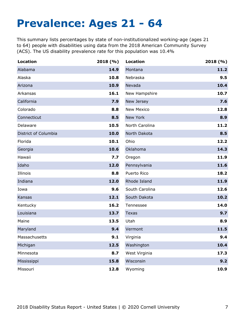# <span id="page-7-0"></span>**Prevalence: Ages 21 - 64**

This summary lists percentages by state of non-institutionalized working-age (ages 21 to 64) people with disabilities using data from the 2018 American Community Survey (ACS). The US disability prevalence rate for this population was 10.4%

| <b>Location</b>      | 2018(%) | <b>Location</b>   | 2018(%) |
|----------------------|---------|-------------------|---------|
| Alabama              | 14.9    | Montana           | 11.2    |
| Alaska               | 10.8    | Nebraska          | 9.5     |
| Arizona              | 10.9    | Nevada            | 10.4    |
| Arkansas             | 16.1    | New Hampshire     | 10.7    |
| California           | 7.9     | New Jersey        | 7.6     |
| Colorado             | 8.8     | <b>New Mexico</b> | 12.8    |
| Connecticut          | 8.5     | New York          | 8.9     |
| Delaware             | 10.5    | North Carolina    | 11.2    |
| District of Columbia | 10.0    | North Dakota      | 8.5     |
| Florida              | 10.1    | Ohio              | 12.2    |
| Georgia              | 10.6    | Oklahoma          | 14.3    |
| Hawaii               | 7.7     | Oregon            | 11.9    |
| Idaho                | 12.0    | Pennsylvania      | 11.6    |
| Illinois             | 8.8     | Puerto Rico       | 18.2    |
| Indiana              | 12.0    | Rhode Island      | 11.9    |
| Iowa                 | 9.6     | South Carolina    | 12.6    |
| Kansas               | 12.1    | South Dakota      | 10.2    |
| Kentucky             | 16.2    | Tennessee         | 14.0    |
| Louisiana            | 13.7    | <b>Texas</b>      | 9.7     |
| Maine                | 13.5    | Utah              | 8.9     |
| Maryland             | 9.4     | Vermont           | 11.5    |
| Massachusetts        | 9.1     | Virginia          | 9.4     |
| Michigan             | 12.5    | Washington        | 10.4    |
| Minnesota            | 8.7     | West Virginia     | 17.3    |
| Mississippi          | 15.8    | Wisconsin         | 9.2     |
| Missouri             | 12.8    | Wyoming           | 10.9    |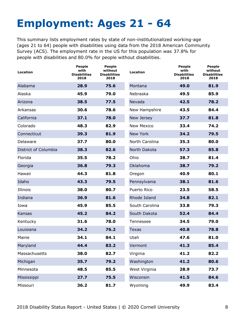# <span id="page-8-0"></span>**Employment: Ages 21 - 64**

This summary lists employment rates by state of non-institutionalized working-age (ages 21 to 64) people with disabilities using data from the 2018 American Community Survey (ACS). The employment rate in the US for this population was 37.8% for people with disabilities and 80.0% for people without disabilities.

| Location             | <b>People</b><br>with<br><b>Disabilities</b><br>2018 | <b>People</b><br>without<br><b>Disabilities</b><br>2018 | <b>Location</b>   | <b>People</b><br>with<br><b>Disabilities</b><br>2018 | <b>People</b><br>without<br><b>Disabilities</b><br>2018 |
|----------------------|------------------------------------------------------|---------------------------------------------------------|-------------------|------------------------------------------------------|---------------------------------------------------------|
| Alabama              | 28.9                                                 | 75.6                                                    | Montana           | 49.0                                                 | 81.9                                                    |
| Alaska               | 45.9                                                 | 79.0                                                    | Nebraska          | 49.5                                                 | 85.9                                                    |
| Arizona              | 38.5                                                 | 77.5                                                    | Nevada            | 42.5                                                 | 78.2                                                    |
| Arkansas             | 30.6                                                 | 78.6                                                    | New Hampshire     | 43.5                                                 | 84.4                                                    |
| California           | 37.1                                                 | 78.0                                                    | New Jersey        | 37.7                                                 | 81.8                                                    |
| Colorado             | 48.3                                                 | 82.9                                                    | <b>New Mexico</b> | 33.4                                                 | 74.2                                                    |
| Connecticut          | 39.3                                                 | 81.9                                                    | New York          | 34.2                                                 | 79.5                                                    |
| Delaware             | 37.7                                                 | 80.0                                                    | North Carolina    | 35.3                                                 | 80.0                                                    |
| District of Columbia | 38.3                                                 | 82.6                                                    | North Dakota      | 57.3                                                 | 85.8                                                    |
| Florida              | 35.5                                                 | 78.2                                                    | Ohio              | 38.7                                                 | 81.4                                                    |
| Georgia              | 36.8                                                 | 79.3                                                    | Oklahoma          | 38.7                                                 | 79.2                                                    |
| Hawaii               | 44.3                                                 | 81.8                                                    | Oregon            | 40.9                                                 | 80.1                                                    |
| Idaho                | 43.3                                                 | 79.5                                                    | Pennsylvania      | 38.1                                                 | 81.6                                                    |
| Illinois             | 38.0                                                 | 80.7                                                    | Puerto Rico       | 23.5                                                 | 58.5                                                    |
| Indiana              | 36.9                                                 | 81.6                                                    | Rhode Island      | 34.8                                                 | 82.1                                                    |
| Iowa                 | 45.9                                                 | 85.5                                                    | South Carolina    | 33.8                                                 | 79.3                                                    |
| Kansas               | 45.2                                                 | 84.2                                                    | South Dakota      | 52.4                                                 | 84.4                                                    |
| Kentucky             | 31.6                                                 | 78.0                                                    | Tennessee         | 34.5                                                 | 79.0                                                    |
| Louisiana            | 34.2                                                 | 76.2                                                    | <b>Texas</b>      | 40.8                                                 | 78.8                                                    |
| Maine                | 34.1                                                 | 84.1                                                    | Utah              | 47.6                                                 | 81.0                                                    |
| Maryland             | 44.4                                                 | 83.2                                                    | Vermont           | 41.3                                                 | 85.4                                                    |
| Massachusetts        | 38.0                                                 | 82.7                                                    | Virginia          | 41.2                                                 | 82.2                                                    |
| Michigan             | 35.7                                                 | 79.2                                                    | Washington        | 41.2                                                 | 80.6                                                    |
| Minnesota            | 48.5                                                 | 85.5                                                    | West Virginia     | 28.9                                                 | 73.7                                                    |
| Mississippi          | 27.7                                                 | 75.5                                                    | Wisconsin         | 41.5                                                 | 84.6                                                    |
| Missouri             | 36.2                                                 | 81.7                                                    | Wyoming           | 49.9                                                 | 83.4                                                    |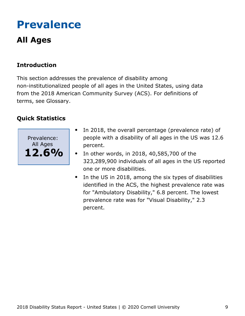# <span id="page-9-0"></span>**Prevalence**

# **All Ages**

### **Introduction**

This section addresses the prevalence of disability among non-institutionalized people of all ages in the United States, using data from the 2018 American Community Survey (ACS). For definitions of terms, see Glossary.



- In 2018, the overall percentage (prevalence rate) of people with a disability of all ages in the US was 12.6 percent.
- In other words, in 2018, 40,585,700 of the  $\bullet$ 323,289,900 individuals of all ages in the US reported one or more disabilities.
- In the US in 2018, among the six types of disabilities identified in the ACS, the highest prevalence rate was for "Ambulatory Disability," 6.8 percent. The lowest prevalence rate was for "Visual Disability," 2.3 percent.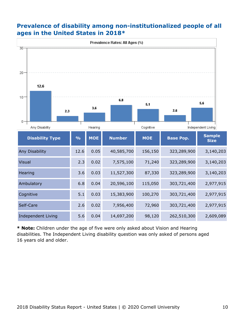#### **Prevalence of disability among non-institutionalized people of all ages in the United States in 2018\***



**\* Note:** Children under the age of five were only asked about Vision and Hearing disabilities. The Independent Living disability question was only asked of persons aged 16 years old and older.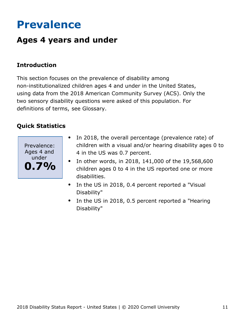# <span id="page-11-0"></span>**Prevalence**

# **Ages 4 years and under**

### **Introduction**

This section focuses on the prevalence of disability among non-institutionalized children ages 4 and under in the United States, using data from the 2018 American Community Survey (ACS). Only the two sensory disability questions were asked of this population. For definitions of terms, see Glossary.



- In 2018, the overall percentage (prevalence rate) of  $\bullet$ children with a visual and/or hearing disability ages 0 to 4 in the US was 0.7 percent.
- In other words, in 2018, 141,000 of the 19,568,600 children ages 0 to 4 in the US reported one or more disabilities.
- In the US in 2018, 0.4 percent reported a "Visual  $\bullet$ Disability"
- In the US in 2018, 0.5 percent reported a "Hearing  $\bullet$ Disability"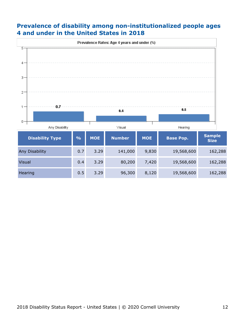#### **Prevalence of disability among non-institutionalized people ages 4 and under in the United States in 2018**

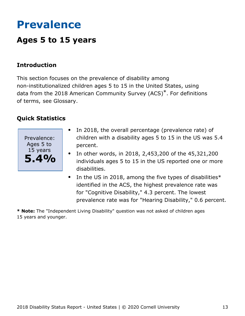# <span id="page-13-0"></span>**Prevalence**

# **Ages 5 to 15 years**

### **Introduction**

This section focuses on the prevalence of disability among non-institutionalized children ages 5 to 15 in the United States, using data from the 2018 American Community Survey (ACS)\*. For definitions of terms, see Glossary.

#### **Quick Statistics**



- In 2018, the overall percentage (prevalence rate) of  $\bullet$ children with a disability ages 5 to 15 in the US was 5.4 percent.
- In other words, in 2018, 2,453,200 of the 45,321,200 individuals ages 5 to 15 in the US reported one or more disabilities.
- $\bullet$ In the US in 2018, among the five types of disabilities\* identified in the ACS, the highest prevalence rate was for "Cognitive Disability," 4.3 percent. The lowest prevalence rate was for "Hearing Disability," 0.6 percent.

**\* Note:** The "Independent Living Disability" question was not asked of children ages 15 years and younger.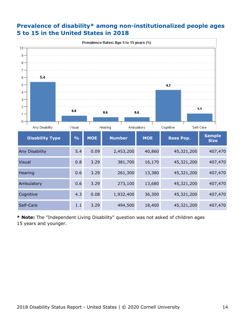

#### **Prevalence of disability\* among non-institutionalized people ages 5 to 15 in the United States in 2018**

**\* Note:** The "Independent Living Disability" question was not asked of children ages 15 years and younger.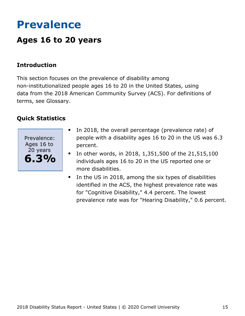# <span id="page-15-0"></span>**Prevalence**

## **Ages 16 to 20 years**

#### **Introduction**

This section focuses on the prevalence of disability among non-institutionalized people ages 16 to 20 in the United States, using data from the 2018 American Community Survey (ACS). For definitions of terms, see Glossary.



- In 2018, the overall percentage (prevalence rate) of  $\bullet$ people with a disability ages 16 to 20 in the US was 6.3 percent.
- In other words, in 2018, 1,351,500 of the 21,515,100  $\bullet$ individuals ages 16 to 20 in the US reported one or more disabilities.
- In the US in 2018, among the six types of disabilities  $\bullet$ identified in the ACS, the highest prevalence rate was for "Cognitive Disability," 4.4 percent. The lowest prevalence rate was for "Hearing Disability," 0.6 percent.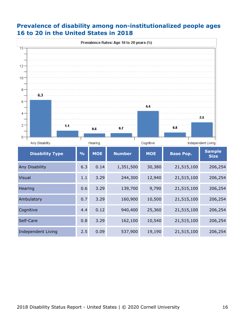#### **Prevalence of disability among non-institutionalized people ages 16 to 20 in the United States in 2018**

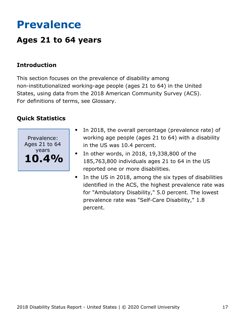# <span id="page-17-0"></span>**Prevalence**

## **Ages 21 to 64 years**

### **Introduction**

This section focuses on the prevalence of disability among non-institutionalized working-age people (ages 21 to 64) in the United States, using data from the 2018 American Community Survey (ACS). For definitions of terms, see Glossary.



- In 2018, the overall percentage (prevalence rate) of  $\bullet$ working age people (ages 21 to 64) with a disability in the US was 10.4 percent.
- In other words, in 2018, 19,338,800 of the  $\bullet$ 185,763,800 individuals ages 21 to 64 in the US reported one or more disabilities.
- In the US in 2018, among the six types of disabilities identified in the ACS, the highest prevalence rate was for "Ambulatory Disability," 5.0 percent. The lowest prevalence rate was "Self-Care Disability," 1.8 percent.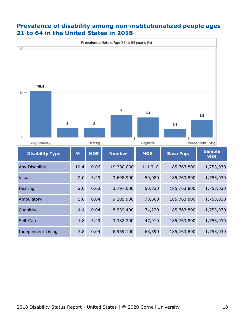#### **Prevalence of disability among non-institutionalized people ages 21 to 64 in the United States in 2018**

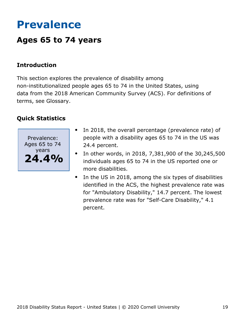# <span id="page-19-0"></span>**Prevalence**

## **Ages 65 to 74 years**

### **Introduction**

This section explores the prevalence of disability among non-institutionalized people ages 65 to 74 in the United States, using data from the 2018 American Community Survey (ACS). For definitions of terms, see Glossary.



- In 2018, the overall percentage (prevalence rate) of people with a disability ages 65 to 74 in the US was 24.4 percent.
- In other words, in 2018, 7,381,900 of the 30,245,500  $\bullet$ individuals ages 65 to 74 in the US reported one or more disabilities.
- $\bullet$ In the US in 2018, among the six types of disabilities identified in the ACS, the highest prevalence rate was for "Ambulatory Disability," 14.7 percent. The lowest prevalence rate was for "Self-Care Disability," 4.1 percent.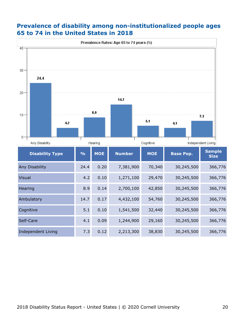#### **Prevalence of disability among non-institutionalized people ages 65 to 74 in the United States in 2018**

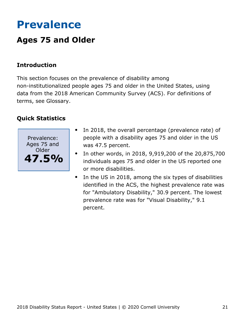# <span id="page-21-0"></span>**Prevalence**

# **Ages 75 and Older**

### **Introduction**

This section focuses on the prevalence of disability among non-institutionalized people ages 75 and older in the United States, using data from the 2018 American Community Survey (ACS). For definitions of terms, see Glossary.



- In 2018, the overall percentage (prevalence rate) of people with a disability ages 75 and older in the US was 47.5 percent.
- In other words, in 2018, 9,919,200 of the 20,875,700 individuals ages 75 and older in the US reported one or more disabilities.
- In the US in 2018, among the six types of disabilities  $\bullet$ identified in the ACS, the highest prevalence rate was for "Ambulatory Disability," 30.9 percent. The lowest prevalence rate was for "Visual Disability," 9.1 percent.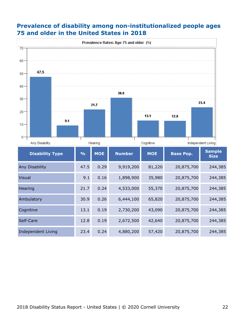#### **Prevalence of disability among non-institutionalized people ages 75 and older in the United States in 2018**

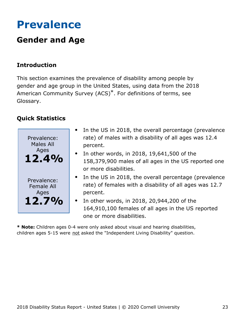# <span id="page-23-0"></span>**Prevalence**

# **Gender and Age**

### **Introduction**

This section examines the prevalence of disability among people by gender and age group in the United States, using data from the 2018 American Community Survey (ACS)\*. For definitions of terms, see Glossary.

### **Quick Statistics**



- In the US in 2018, the overall percentage (prevalence rate) of males with a disability of all ages was 12.4 percent.
- $\bullet$  In other words, in 2018, 19,641,500 of the 158,379,900 males of all ages in the US reported one or more disabilities.
- In the US in 2018, the overall percentage (prevalence rate) of females with a disability of all ages was 12.7 percent.
- In other words, in 2018, 20,944,200 of the 164,910,100 females of all ages in the US reported one or more disabilities.

**\* Note:** Children ages 0-4 were only asked about visual and hearing disabilities, children ages 5-15 were not asked the "Independent Living Disability" question.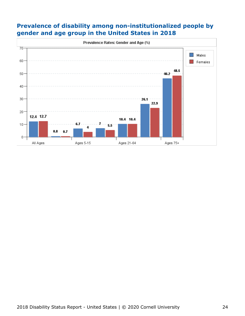

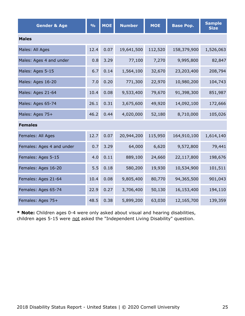| <b>Gender &amp; Age</b>   | $\frac{0}{0}$ | <b>MOE</b> | <b>Number</b> | <b>MOE</b> | <b>Base Pop.</b> | <b>Sample</b><br><b>Size</b> |  |  |  |
|---------------------------|---------------|------------|---------------|------------|------------------|------------------------------|--|--|--|
| <b>Males</b>              |               |            |               |            |                  |                              |  |  |  |
| Males: All Ages           | 12.4          | 0.07       | 19,641,500    | 112,520    | 158,379,900      | 1,526,063                    |  |  |  |
| Males: Ages 4 and under   | 0.8           | 3.29       | 77,100        | 7,270      | 9,995,800        | 82,847                       |  |  |  |
| Males: Ages 5-15          | 6.7           | 0.14       | 1,564,100     | 32,670     | 23,203,400       | 208,794                      |  |  |  |
| Males: Ages 16-20         | 7.0           | 0.20       | 771,300       | 22,970     | 10,980,200       | 104,743                      |  |  |  |
| Males: Ages 21-64         | 10.4          | 0.08       | 9,533,400     | 79,670     | 91,398,300       | 851,987                      |  |  |  |
| Males: Ages 65-74         | 26.1          | 0.31       | 3,675,600     | 49,920     | 14,092,100       | 172,666                      |  |  |  |
| Males: Ages 75+           | 46.2          | 0.44       | 4,020,000     | 52,180     | 8,710,000        | 105,026                      |  |  |  |
| <b>Females</b>            |               |            |               |            |                  |                              |  |  |  |
| Females: All Ages         | 12.7          | 0.07       | 20,944,200    | 115,950    | 164,910,100      | 1,614,140                    |  |  |  |
| Females: Ages 4 and under | 0.7           | 3.29       | 64,000        | 6,620      | 9,572,800        | 79,441                       |  |  |  |
| Females: Ages 5-15        | 4.0           | 0.11       | 889,100       | 24,660     | 22,117,800       | 198,676                      |  |  |  |
| Females: Ages 16-20       | 5.5           | 0.18       | 580,200       | 19,930     | 10,534,900       | 101,511                      |  |  |  |
| Females: Ages 21-64       | 10.4          | 0.08       | 9,805,400     | 80,770     | 94,365,500       | 901,043                      |  |  |  |
| Females: Ages 65-74       | 22.9          | 0.27       | 3,706,400     | 50,130     | 16,153,400       | 194,110                      |  |  |  |
| Females: Ages 75+         | 48.5          | 0.38       | 5,899,200     | 63,030     | 12,165,700       | 139,359                      |  |  |  |

**\* Note:** Children ages 0-4 were only asked about visual and hearing disabilities, children ages 5-15 were not asked the "Independent Living Disability" question.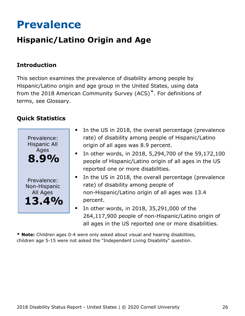# <span id="page-26-0"></span>**Prevalence**

# **Hispanic/Latino Origin and Age**

### **Introduction**

This section examines the prevalence of disability among people by Hispanic/Latino origin and age group in the United States, using data from the 2018 American Community Survey (ACS)\*. For definitions of terms, see Glossary.

### **Quick Statistics**



- In the US in 2018, the overall percentage (prevalence rate) of disability among people of Hispanic/Latino origin of all ages was 8.9 percent.
- In other words, in 2018, 5,294,700 of the 59,172,100 people of Hispanic/Latino origin of all ages in the US reported one or more disabilities.
- In the US in 2018, the overall percentage (prevalence rate) of disability among people of non-Hispanic/Latino origin of all ages was 13.4 percent.
- In other words, in 2018, 35,291,000 of the 264,117,900 people of non-Hispanic/Latino origin of all ages in the US reported one or more disabilities.

**\* Note:** Children ages 0-4 were only asked about visual and hearing disabilities, children age 5-15 were not asked the "Independent Living Disability" question.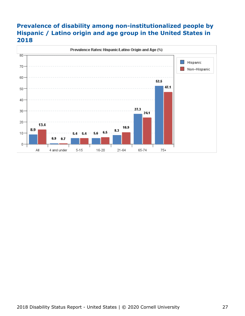### **Prevalence of disability among non-institutionalized people by Hispanic / Latino origin and age group in the United States in 2018**

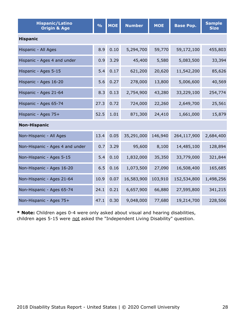| <b>Hispanic/Latino</b><br><b>Origin &amp; Age</b> | $\frac{9}{6}$ | <b>MOE</b> | <b>Number</b> | <b>MOE</b> | <b>Base Pop.</b> | <b>Sample</b><br><b>Size</b> |
|---------------------------------------------------|---------------|------------|---------------|------------|------------------|------------------------------|
| <b>Hispanic</b>                                   |               |            |               |            |                  |                              |
| Hispanic - All Ages                               | 8.9           | 0.10       | 5,294,700     | 59,770     | 59,172,100       | 455,803                      |
| Hispanic - Ages 4 and under                       | 0.9           | 3.29       | 45,400        | 5,580      | 5,083,500        | 33,394                       |
| Hispanic - Ages 5-15                              | 5.4           | 0.17       | 621,200       | 20,620     | 11,542,200       | 85,626                       |
| Hispanic - Ages 16-20                             | 5.6           | 0.27       | 278,000       | 13,800     | 5,006,600        | 40,569                       |
| Hispanic - Ages 21-64                             | 8.3           | 0.13       | 2,754,900     | 43,280     | 33,229,100       | 254,774                      |
| Hispanic - Ages 65-74                             | 27.3          | 0.72       | 724,000       | 22,260     | 2,649,700        | 25,561                       |
| Hispanic - Ages 75+                               | 52.5          | 1.01       | 871,300       | 24,410     | 1,661,000        | 15,879                       |
| <b>Non-Hispanic</b>                               |               |            |               |            |                  |                              |
| Non-Hispanic - All Ages                           | 13.4          | 0.05       | 35,291,000    | 146,940    | 264,117,900      | 2,684,400                    |
| Non-Hispanic - Ages 4 and under                   | 0.7           | 3.29       | 95,600        | 8,100      | 14,485,100       | 128,894                      |
| Non-Hispanic - Ages 5-15                          | 5.4           | 0.10       | 1,832,000     | 35,350     | 33,779,000       | 321,844                      |
| Non-Hispanic - Ages 16-20                         | 6.5           | 0.16       | 1,073,500     | 27,090     | 16,508,400       | 165,685                      |
| Non-Hispanic - Ages 21-64                         | 10.9          | 0.07       | 16,583,900    | 103,910    | 152,534,800      | 1,498,256                    |
| Non-Hispanic - Ages 65-74                         | 24.1          | 0.21       | 6,657,900     | 66,880     | 27,595,800       | 341,215                      |
| Non-Hispanic - Ages 75+                           | 47.1          | 0.30       | 9,048,000     | 77,680     | 19,214,700       | 228,506                      |

**\* Note:** Children ages 0-4 were only asked about visual and hearing disabilities, children ages 5-15 were not asked the "Independent Living Disability" question.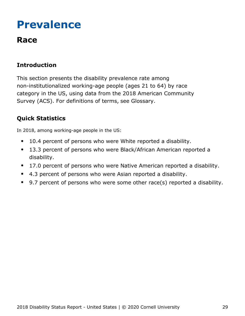# <span id="page-29-0"></span>**Prevalence**

## **Race**

## **Introduction**

This section presents the disability prevalence rate among non-institutionalized working-age people (ages 21 to 64) by race category in the US, using data from the 2018 American Community Survey (ACS). For definitions of terms, see Glossary.

## **Quick Statistics**

In 2018, among working-age people in the US:

- 10.4 percent of persons who were White reported a disability.  $\bullet$
- 13.3 percent of persons who were Black/African American reported a  $\bullet$ disability.
- 17.0 percent of persons who were Native American reported a disability.  $\bullet$
- 4.3 percent of persons who were Asian reported a disability.
- 9.7 percent of persons who were some other race(s) reported a disability.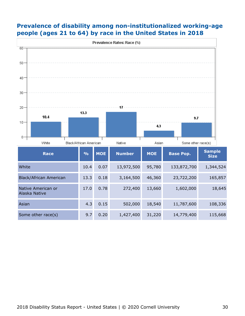

#### **Prevalence of disability among non-institutionalized working-age people (ages 21 to 64) by race in the United States in 2018**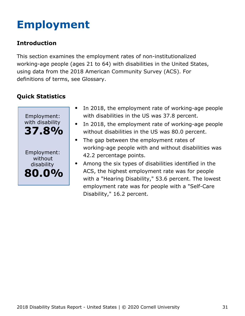# <span id="page-31-0"></span>**Employment**

### **Introduction**

This section examines the employment rates of non-institutionalized working-age people (ages 21 to 64) with disabilities in the United States, using data from the 2018 American Community Survey (ACS). For definitions of terms, see Glossary.



- $\bullet$ In 2018, the employment rate of working-age people with disabilities in the US was 37.8 percent.
- In 2018, the employment rate of working-age people  $\bullet$ without disabilities in the US was 80.0 percent.
- The gap between the employment rates of  $\bullet$ working-age people with and without disabilities was 42.2 percentage points.
- Among the six types of disabilities identified in the ACS, the highest employment rate was for people with a "Hearing Disability," 53.6 percent. The lowest employment rate was for people with a "Self-Care Disability," 16.2 percent.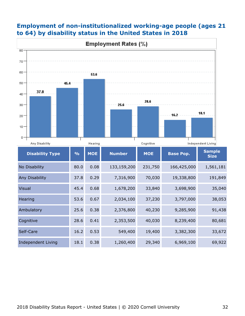

#### **Employment of non-institutionalized working-age people (ages 21 to 64) by disability status in the United States in 2018**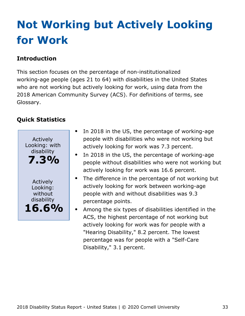# <span id="page-33-0"></span>**Not Working but Actively Looking for Work**

## **Introduction**

This section focuses on the percentage of non-institutionalized working-age people (ages 21 to 64) with disabilities in the United States who are not working but actively looking for work, using data from the 2018 American Community Survey (ACS). For definitions of terms, see Glossary.



- In 2018 in the US, the percentage of working-age people with disabilities who were not working but actively looking for work was 7.3 percent.
- In 2018 in the US, the percentage of working-age people without disabilities who were not working but actively looking for work was 16.6 percent.
- $\bullet$ The difference in the percentage of not working but actively looking for work between working-age people with and without disabilities was 9.3 percentage points.
	- Among the six types of disabilities identified in the ACS, the highest percentage of not working but actively looking for work was for people with a "Hearing Disability," 8.2 percent. The lowest percentage was for people with a "Self-Care Disability," 3.1 percent.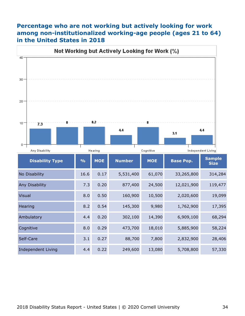#### **Percentage who are not working but actively looking for work among non-institutionalized working-age people (ages 21 to 64) in the United States in 2018**

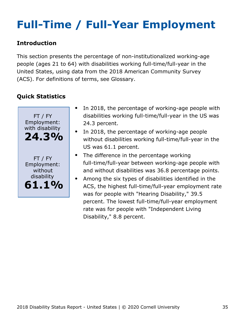# <span id="page-35-0"></span>**Full-Time / Full-Year Employment**

### **Introduction**

This section presents the percentage of non-institutionalized working-age people (ages 21 to 64) with disabilities working full-time/full-year in the United States, using data from the 2018 American Community Survey (ACS). For definitions of terms, see Glossary.



- In 2018, the percentage of working-age people with disabilities working full-time/full-year in the US was 24.3 percent.
- In 2018, the percentage of working-age people without disabilities working full-time/full-year in the US was 61.1 percent.
- The difference in the percentage working full-time/full-year between working-age people with and without disabilities was 36.8 percentage points.
- Among the six types of disabilities identified in the  $\bullet$ ACS, the highest full-time/full-year employment rate was for people with "Hearing Disability," 39.5 percent. The lowest full-time/full-year employment rate was for people with "Independent Living Disability," 8.8 percent.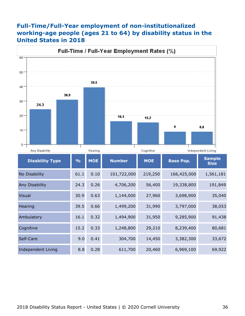#### **Full-Time/Full-Year employment of non-institutionalized working-age people (ages 21 to 64) by disability status in the United States in 2018**

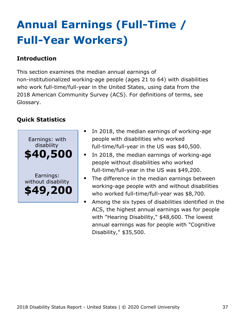# <span id="page-37-0"></span>**Annual Earnings (Full-Time / Full-Year Workers)**

### **Introduction**

This section examines the median annual earnings of non-institutionalized working-age people (ages 21 to 64) with disabilities who work full-time/full-year in the United States, using data from the 2018 American Community Survey (ACS). For definitions of terms, see Glossary.



- In 2018, the median earnings of working-age people with disabilities who worked full-time/full-year in the US was \$40,500.
- In 2018, the median earnings of working-age people without disabilities who worked full-time/full-year in the US was \$49,200.
- The difference in the median earnings between working-age people with and without disabilities who worked full-time/full-year was \$8,700.
- Among the six types of disabilities identified in the ACS, the highest annual earnings was for people with "Hearing Disability," \$48,600. The lowest annual earnings was for people with "Cognitive Disability," \$35,500.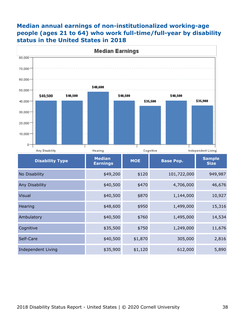#### **Median annual earnings of non-institutionalized working-age people (ages 21 to 64) who work full-time/full-year by disability status in the United States in 2018**



| <b>Disability Type</b>    | <b>Median</b><br><b>Earnings</b> | <b>MOE</b> | <b>Base Pop.</b> | <b>Sample</b><br><b>Size</b> |
|---------------------------|----------------------------------|------------|------------------|------------------------------|
| No Disability             | \$49,200                         | \$120      | 101,722,000      | 949,987                      |
| Any Disability            | \$40,500                         | \$470      | 4,706,000        | 46,676                       |
| <b>Visual</b>             | \$40,500                         | \$870      | 1,144,000        | 10,927                       |
| Hearing                   | \$48,600                         | \$950      | 1,499,000        | 15,316                       |
| Ambulatory                | \$40,500                         | \$760      | 1,495,000        | 14,534                       |
| Cognitive                 | \$35,500                         | \$750      | 1,249,000        | 11,676                       |
| Self-Care                 | \$40,500                         | \$1,870    | 305,000          | 2,816                        |
| <b>Independent Living</b> | \$35,900                         | \$1,120    | 612,000          | 5,890                        |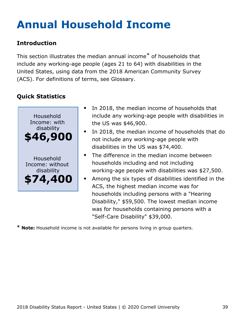# <span id="page-39-0"></span>**Annual Household Income**

### **Introduction**

This section illustrates the median annual income\* of households that include any working-age people (ages 21 to 64) with disabilities in the United States, using data from the 2018 American Community Survey (ACS). For definitions of terms, see Glossary.

## **Quick Statistics**



- In 2018, the median income of households that include any working-age people with disabilities in the US was \$46,900.
- In 2018, the median income of households that do not include any working-age people with disabilities in the US was \$74,400.
- The difference in the median income between households including and not including working-age people with disabilities was \$27,500.
- Among the six types of disabilities identified in the ACS, the highest median income was for households including persons with a "Hearing Disability," \$59,500. The lowest median income was for households containing persons with a "Self-Care Disability" \$39,000.

**\* Note:** Household income is not available for persons living in group quarters.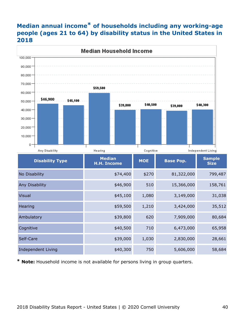### **Median annual income\* of households including any working-age people (ages 21 to 64) by disability status in the United States in 2018**



**\* Note:** Household income is not available for persons living in group quarters.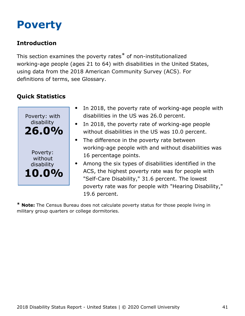# <span id="page-41-0"></span>**Poverty**

## **Introduction**

This section examines the poverty rates\* of non-institutionalized working-age people (ages 21 to 64) with disabilities in the United States, using data from the 2018 American Community Survey (ACS). For definitions of terms, see Glossary.

## **Quick Statistics**



- $\bullet$ In 2018, the poverty rate of working-age people with disabilities in the US was 26.0 percent.
- In 2018, the poverty rate of working-age people  $\bullet$ without disabilities in the US was 10.0 percent.
- The difference in the poverty rate between working-age people with and without disabilities was 16 percentage points.
- Among the six types of disabilities identified in the ACS, the highest poverty rate was for people with "Self-Care Disability," 31.6 percent. The lowest poverty rate was for people with "Hearing Disability," 19.6 percent.

**\* Note:** The Census Bureau does not calculate poverty status for those people living in military group quarters or college dormitories.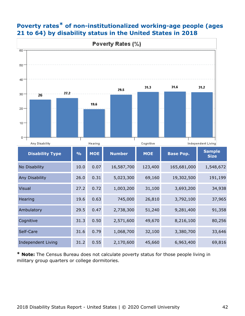

### **Poverty rates\* of non-institutionalized working-age people (ages 21 to 64) by disability status in the United States in 2018**

**\* Note:** The Census Bureau does not calculate poverty status for those people living in military group quarters or college dormitories.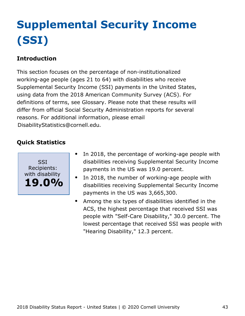# <span id="page-43-0"></span>**Supplemental Security Income (SSI)**

## **Introduction**

This section focuses on the percentage of non-institutionalized working-age people (ages 21 to 64) with disabilities who receive Supplemental Security Income (SSI) payments in the United States, using data from the 2018 American Community Survey (ACS). For definitions of terms, see Glossary. Please note that these results will differ from official Social Security Administration reports for several reasons. For additional information, please email [DisabilityStatistics@cornell.edu](mailto:DisabilityStatistics@cornell.edu).



- In 2018, the percentage of working-age people with  $\bullet$ disabilities receiving Supplemental Security Income payments in the US was 19.0 percent.
- In 2018, the number of working-age people with disabilities receiving Supplemental Security Income payments in the US was 3,665,300.
- Among the six types of disabilities identified in the  $\bullet$ ACS, the highest percentage that received SSI was people with "Self-Care Disability," 30.0 percent. The lowest percentage that received SSI was people with "Hearing Disability," 12.3 percent.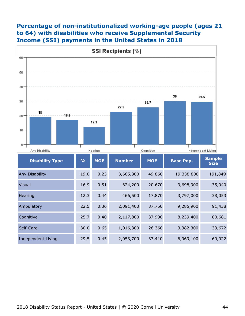#### **Percentage of non-institutionalized working-age people (ages 21 to 64) with disabilities who receive Supplemental Security Income (SSI) payments in the United States in 2018**

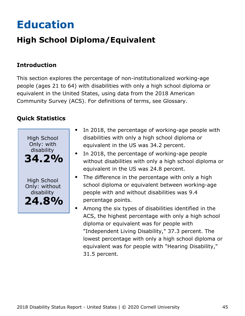# <span id="page-45-0"></span>**Education**

# **High School Diploma/Equivalent**

### **Introduction**

This section explores the percentage of non-institutionalized working-age people (ages 21 to 64) with disabilities with only a high school diploma or equivalent in the United States, using data from the 2018 American Community Survey (ACS). For definitions of terms, see Glossary.



- In 2018, the percentage of working-age people with  $\bullet$ disabilities with only a high school diploma or equivalent in the US was 34.2 percent.
- In 2018, the percentage of working-age people without disabilities with only a high school diploma or equivalent in the US was 24.8 percent.
- The difference in the percentage with only a high school diploma or equivalent between working-age people with and without disabilities was 9.4 percentage points.
- Among the six types of disabilities identified in the ACS, the highest percentage with only a high school diploma or equivalent was for people with "Independent Living Disability," 37.3 percent. The lowest percentage with only a high school diploma or equivalent was for people with "Hearing Disability," 31.5 percent.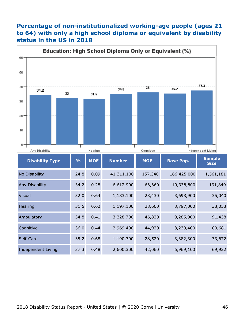#### **Percentage of non-institutionalized working-age people (ages 21 to 64) with only a high school diploma or equivalent by disability status in the US in 2018**

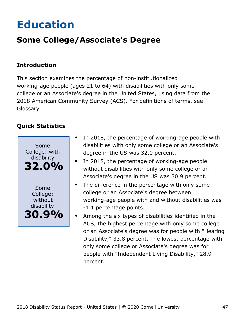# <span id="page-47-0"></span>**Education**

# **Some College/Associate's Degree**

#### **Introduction**

This section examines the percentage of non-institutionalized working-age people (ages 21 to 64) with disabilities with only some college or an Associate's degree in the United States, using data from the 2018 American Community Survey (ACS). For definitions of terms, see Glossary.



- In 2018, the percentage of working-age people with  $\bullet$ disabilities with only some college or an Associate's degree in the US was 32.0 percent.
- In 2018, the percentage of working-age people without disabilities with only some college or an Associate's degree in the US was 30.9 percent.
- The difference in the percentage with only some  $\bullet$ college or an Associate's degree between working-age people with and without disabilities was -1.1 percentage points.
- Among the six types of disabilities identified in the ACS, the highest percentage with only some college or an Associate's degree was for people with "Hearing Disability," 33.8 percent. The lowest percentage with only some college or Associate's degree was for people with "Independent Living Disability," 28.9 percent.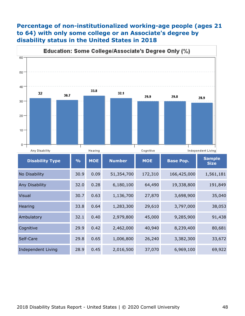#### **Percentage of non-institutionalized working-age people (ages 21 to 64) with only some college or an Associate's degree by disability status in the United States in 2018**

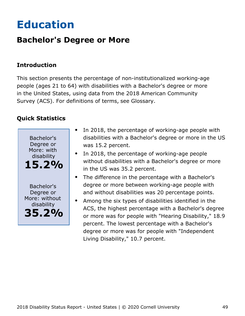# <span id="page-49-0"></span>**Education**

## **Bachelor's Degree or More**

### **Introduction**

This section presents the percentage of non-institutionalized working-age people (ages 21 to 64) with disabilities with a Bachelor's degree or more in the United States, using data from the 2018 American Community Survey (ACS). For definitions of terms, see Glossary.



- In 2018, the percentage of working-age people with disabilities with a Bachelor's degree or more in the US was 15.2 percent.
- In 2018, the percentage of working-age people without disabilities with a Bachelor's degree or more in the US was 35.2 percent.
- The difference in the percentage with a Bachelor's degree or more between working-age people with and without disabilities was 20 percentage points.
- Among the six types of disabilities identified in the ACS, the highest percentage with a Bachelor's degree or more was for people with "Hearing Disability," 18.9 percent. The lowest percentage with a Bachelor's degree or more was for people with "Independent Living Disability," 10.7 percent.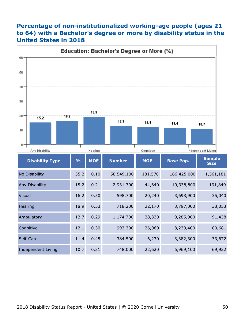#### **Percentage of non-institutionalized working-age people (ages 21 to 64) with a Bachelor's degree or more by disability status in the United States in 2018**

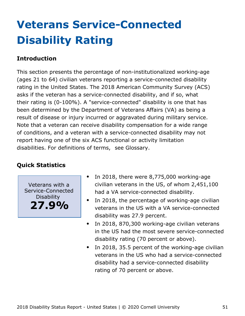# <span id="page-51-0"></span>**Veterans Service-Connected Disability Rating**

### **Introduction**

This section presents the percentage of non-institutionalized working-age (ages 21 to 64) civilian veterans reporting a service-connected disability rating in the United States. The 2018 American Community Survey (ACS) asks if the veteran has a service-connected disability, and if so, what their rating is (0-100%). A "service-connected" disability is one that has been determined by the Department of Veterans Affairs (VA) as being a result of disease or injury incurred or aggravated during military service. Note that a veteran can receive disability compensation for a wide range of conditions, and a veteran with a service-connected disability may not report having one of the six ACS functional or activity limitation disabilities. For definitions of terms, see Glossary.

### **Quick Statistics**

Veterans with a Service-Connected Disability **27.9%**

- In 2018, there were 8,775,000 working-age civilian veterans in the US, of whom 2,451,100 had a VA service-connected disability.
- $\bullet$ In 2018, the percentage of working-age civilian veterans in the US with a VA service-connected disability was 27.9 percent.
- In 2018, 870,300 working-age civilian veterans  $\bullet$ in the US had the most severe service-connected disability rating (70 percent or above).
- In 2018, 35.5 percent of the working-age civilian  $\bullet$ veterans in the US who had a service-connected disability had a service-connected disability rating of 70 percent or above.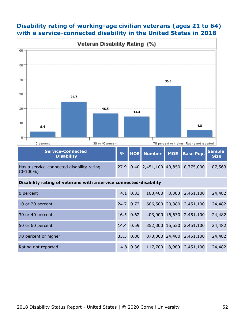#### **Disability rating of working-age civilian veterans (ages 21 to 64) with a service-connected disability in the United States in 2018**



70 percent or higher 35.5 0.80 870,300 24,400 2,451,100 24,482

Rating not reported 4.8 0.36 117,700 8,980 2,451,100 24,482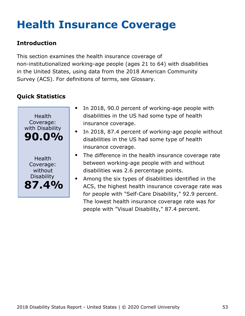# <span id="page-53-0"></span>**Health Insurance Coverage**

### **Introduction**

This section examines the health insurance coverage of non-institutionalized working-age people (ages 21 to 64) with disabilities in the United States, using data from the 2018 American Community Survey (ACS). For definitions of terms, see Glossary.



- In 2018, 90.0 percent of working-age people with disabilities in the US had some type of health insurance coverage.
- In 2018, 87.4 percent of working-age people without disabilities in the US had some type of health insurance coverage.
- The difference in the health insurance coverage rate between working-age people with and without disabilities was 2.6 percentage points.
- Among the six types of disabilities identified in the  $\bullet$ ACS, the highest health insurance coverage rate was for people with "Self-Care Disability," 92.9 percent. The lowest health insurance coverage rate was for people with "Visual Disability," 87.4 percent.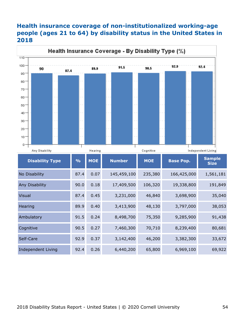#### **Health insurance coverage of non-institutionalized working-age people (ages 21 to 64) by disability status in the United States in 2018**



| <b>Disability Type</b>    | $\frac{9}{6}$ | <b>MOE</b> | <b>Number</b> | <b>MOE</b> | <b>Base Pop.</b> | <b>Sample</b><br><b>Size</b> |
|---------------------------|---------------|------------|---------------|------------|------------------|------------------------------|
| No Disability             | 87.4          | 0.07       | 145,459,100   | 235,380    | 166,425,000      | 1,561,181                    |
| Any Disability            | 90.0          | 0.18       | 17,409,500    | 106,320    | 19,338,800       | 191,849                      |
| <b>Visual</b>             | 87.4          | 0.45       | 3,231,000     | 46,840     | 3,698,900        | 35,040                       |
| Hearing                   | 89.9          | 0.40       | 3,413,900     | 48,130     | 3,797,000        | 38,053                       |
| Ambulatory                | 91.5          | 0.24       | 8,498,700     | 75,350     | 9,285,900        | 91,438                       |
| Cognitive                 | 90.5          | 0.27       | 7,460,300     | 70,710     | 8,239,400        | 80,681                       |
| Self-Care                 | 92.9          | 0.37       | 3,142,400     | 46,200     | 3,382,300        | 33,672                       |
| <b>Independent Living</b> | 92.4          | 0.26       | 6,440,200     | 65,800     | 6,969,100        | 69,922                       |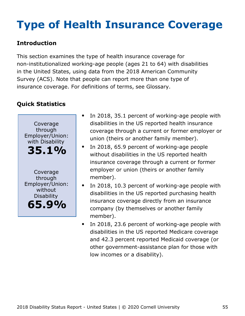# <span id="page-55-0"></span>**Type of Health Insurance Coverage**

### **Introduction**

This section examines the type of health insurance coverage for non-institutionalized working-age people (ages 21 to 64) with disabilities in the United States, using data from the 2018 American Community Survey (ACS). Note that people can report more than one type of insurance coverage. For definitions of terms, see Glossary.



- In 2018, 35.1 percent of working-age people with disabilities in the US reported health insurance coverage through a current or former employer or union (theirs or another family member).
- In 2018, 65.9 percent of working-age people  $\bullet$ without disabilities in the US reported health insurance coverage through a current or former employer or union (theirs or another family member).
- In 2018, 10.3 percent of working-age people with disabilities in the US reported purchasing health insurance coverage directly from an insurance company (by themselves or another family member).
- In 2018, 23.6 percent of working-age people with  $\bullet$ disabilities in the US reported Medicare coverage and 42.3 percent reported Medicaid coverage (or other government-assistance plan for those with low incomes or a disability).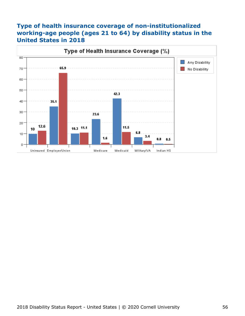#### **Type of health insurance coverage of non-institutionalized working-age people (ages 21 to 64) by disability status in the United States in 2018**

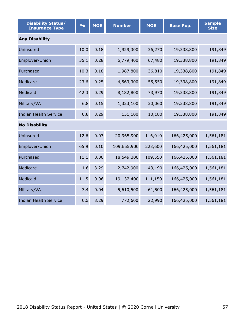| <b>Disability Status/</b><br><b>Insurance Type</b> | $\frac{1}{2}$ | <b>MOE</b> | <b>Number</b> | <b>MOE</b> | <b>Base Pop.</b> | <b>Sample</b><br><b>Size</b> |  |  |  |
|----------------------------------------------------|---------------|------------|---------------|------------|------------------|------------------------------|--|--|--|
| <b>Any Disability</b>                              |               |            |               |            |                  |                              |  |  |  |
| Uninsured                                          | 10.0          | 0.18       | 1,929,300     | 36,270     | 19,338,800       | 191,849                      |  |  |  |
| Employer/Union                                     | 35.1          | 0.28       | 6,779,400     | 67,480     | 19,338,800       | 191,849                      |  |  |  |
| Purchased                                          | 10.3          | 0.18       | 1,987,800     | 36,810     | 19,338,800       | 191,849                      |  |  |  |
| Medicare                                           | 23.6          | 0.25       | 4,563,300     | 55,550     | 19,338,800       | 191,849                      |  |  |  |
| Medicaid                                           | 42.3          | 0.29       | 8,182,800     | 73,970     | 19,338,800       | 191,849                      |  |  |  |
| Military/VA                                        | 6.8           | 0.15       | 1,323,100     | 30,060     | 19,338,800       | 191,849                      |  |  |  |
| <b>Indian Health Service</b>                       | 0.8           | 3.29       | 151,100       | 10,180     | 19,338,800       | 191,849                      |  |  |  |
| <b>No Disability</b>                               |               |            |               |            |                  |                              |  |  |  |
| Uninsured                                          | 12.6          | 0.07       | 20,965,900    | 116,010    | 166,425,000      | 1,561,181                    |  |  |  |
| Employer/Union                                     | 65.9          | 0.10       | 109,655,900   | 223,600    | 166,425,000      | 1,561,181                    |  |  |  |
| Purchased                                          | 11.1          | 0.06       | 18,549,300    | 109,550    | 166,425,000      | 1,561,181                    |  |  |  |
| Medicare                                           | 1.6           | 3.29       | 2,742,900     | 43,190     | 166,425,000      | 1,561,181                    |  |  |  |
| Medicaid                                           | 11.5          | 0.06       | 19,132,400    | 111,150    | 166,425,000      | 1,561,181                    |  |  |  |
| Military/VA                                        | 3.4           | 0.04       | 5,610,500     | 61,500     | 166,425,000      | 1,561,181                    |  |  |  |
| <b>Indian Health Service</b>                       | 0.5           | 3.29       | 772,600       | 22,990     | 166,425,000      | 1,561,181                    |  |  |  |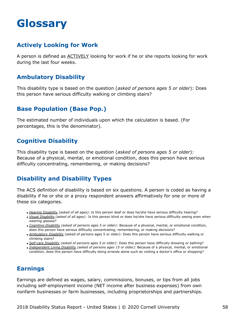# <span id="page-58-0"></span>**Glossary**

#### **Actively Looking for Work**

A person is defined as ACTIVELY looking for work if he or she reports looking for work during the last four weeks.

#### **Ambulatory Disability**

This disability type is based on the question (*asked of persons ages 5 or older*): Does this person have serious difficulty walking or climbing stairs?

#### **Base Population (Base Pop.)**

The estimated number of individuals upon which the calculation is based. (For percentages, this is the denominator).

#### **Cognitive Disability**

This disability type is based on the question (*asked of persons ages 5 or older*): Because of a physical, mental, or emotional condition, does this person have serious difficulty concentrating, remembering, or making decisions?

### **Disability and Disability Types**

The ACS definition of disability is based on six questions. A person is coded as having a disability if he or she or a proxy respondent answers affirmatively for one or more of these six categories.

- *Hearing Disability (asked of all ages):* Is this person deaf or does he/she have serious difficulty hearing?
- *Visual Disability (asked of all ages)*: Is this person blind or does he/she have serious difficulty seeing even when wearing glasses?
- *Cognitive Disability (asked of persons ages 5 or older)*: Because of a physical, mental, or emotional condition, does this person have serious difficulty concentrating, remembering, or making decisions?
- *Ambulatory Disability* (asked of persons ages 5 or older): Does this person have serious difficulty walking or climbing stairs?
- *Self-care Disability (asked of persons ages 5 or older)*: Does this person have difficulty dressing or bathing?
- *Independent Living Disability (asked of persons ages 15 or older):* Because of a physical, mental, or emotional condition, does this person have difficulty doing errands alone such as visiting a doctor's office or shopping?

#### **Earnings**

Earnings are defined as wages, salary, commissions, bonuses, or tips from all jobs including self-employment income (NET income after business expenses) from own nonfarm businesses or farm businesses, including proprietorships and partnerships.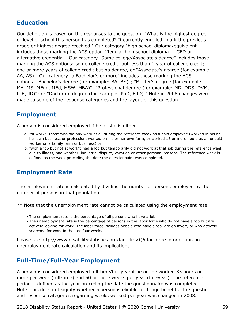#### **Education**

Our definition is based on the responses to the question: "What is the highest degree or level of school this person has completed? If currently enrolled, mark the previous grade or highest degree received." Our category "high school diploma/equivalent" includes those marking the ACS option "Regular high school diploma — GED or alternative credential." Our category "Some college/Associate's degree" includes those marking the ACS options: some college credit, but less than 1 year of college credit; one or more years of college credit but no degree, or "Associate's degree (for example: AA, AS)." Our category "a Bachelor's or more" includes those marking the ACS options: "Bachelor's degree (for example: BA, BS)"; "Master's degree (for example: MA, MS, MEng, MEd, MSW, MBA)"; "Professional degree (for example: MD, DDS, DVM, LLB, JD)"; or "Doctorate degree (for example: PhD, EdD)." Note in 2008 changes were made to some of the response categories and the layout of this question.

#### **Employment**

A person is considered employed if he or she is either

- a. "at work": those who did any work at all during the reference week as a paid employee (worked in his or her own business or profession, worked on his or her own farm, or worked 15 or more hours as an unpaid worker on a family farm or business) or
- b. "with a job but not at work": had a job but temporarily did not work at that job during the reference week due to illness, bad weather, industrial dispute, vacation or other personal reasons. The reference week is defined as the week preceding the date the questionnaire was completed.

#### **Employment Rate**

The employment rate is calculated by dividing the number of persons employed by the number of persons in that population.

\*\* Note that the unemployment rate cannot be calculated using the employment rate:

- The employment rate is the percentage of all persons who have a job.
- The unemployment rate is the percentage of persons in the labor force who do not have a job but are actively looking for work. The labor force includes people who have a job, are on layoff, or who actively searched for work in the last four weeks.

Please see http://www.disabilitystatistics.org/faq.cfm#Q6 for more information on unemployment rate calculation and its implications.

#### **Full-Time/Full-Year Employment**

A person is considered employed full-time/full-year if he or she worked 35 hours or more per week (full-time) and 50 or more weeks per year (full-year). The reference period is defined as the year preceding the date the questionnaire was completed. Note: this does not signify whether a person is eligible for fringe benefits. The question and response categories regarding weeks worked per year was changed in 2008.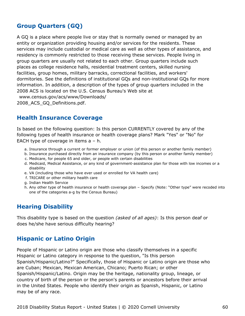#### **Group Quarters (GQ)**

A GQ is a place where people live or stay that is normally owned or managed by an entity or organization providing housing and/or services for the residents. These services may include custodial or medical care as well as other types of assistance, and residency is commonly restricted to those receiving these services. People living in group quarters are usually not related to each other. Group quarters include such places as college residence halls, residential treatment centers, skilled nursing facilities, group homes, military barracks, correctional facilities, and workers' dormitories. See the definitions of institutional GQs and non-institutional GQs for more information. In addition, a description of the types of group quarters included in the 2008 ACS is located on the U.S. Census Bureau's Web site at

[www.census.gov/acs/www/Downloads/](http://www.census.gov/acs/www/Downloads/2008_ACS_GQ_Definitions.pdf) [2008\\_ACS\\_GQ\\_Definitions.pdf](http://www.census.gov/acs/www/Downloads/2008_ACS_GQ_Definitions.pdf).

#### **Health Insurance Coverage**

Is based on the following question: Is this person CURRENTLY covered by any of the following types of health insurance or health coverage plans? Mark "Yes" or "No" for EACH type of coverage in items  $a - h$ .

- a. Insurance through a current or former employer or union (of this person or another family member)
- b. Insurance purchased directly from an insurance company (by this person or another family member)
- c. Medicare, for people 65 and older, or people with certain disabilities
- d. Medicaid, Medical Assistance, or any kind of government-assistance plan for those with low incomes or a disability
- e. VA (including those who have ever used or enrolled for VA health care)
- f. TRICARE or other military health care
- g. Indian Health Service
- h. Any other type of health insurance or health coverage plan Specify (Note: "Other type" were recoded into one of the categories a-g by the Census Bureau)

#### **Hearing Disability**

This disability type is based on the question *(asked of all ages)*: Is this person deaf or does he/she have serious difficulty hearing?

#### **Hispanic or Latino Origin**

People of Hispanic or Latino origin are those who classify themselves in a specific Hispanic or Latino category in response to the question, "Is this person Spanish/Hispanic/Latino?" Specifically, those of Hispanic or Latino origin are those who are Cuban; Mexican, Mexican American, Chicano; Puerto Rican; or other Spanish/Hispanic/Latino. Origin may be the heritage, nationality group, lineage, or country of birth of the person or the person's parents or ancestors before their arrival in the United States. People who identify their origin as Spanish, Hispanic, or Latino may be of any race.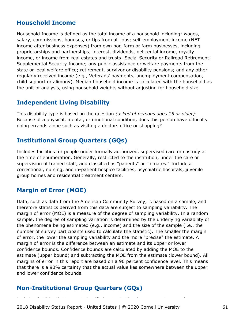#### **Household Income**

Household Income is defined as the total income of a household including: wages, salary, commissions, bonuses, or tips from all jobs; self-employment income (NET income after business expenses) from own non-farm or farm businesses, including proprietorships and partnerships; interest, dividends, net rental income, royalty income, or income from real estates and trusts; Social Security or Railroad Retirement; Supplemental Security Income; any public assistance or welfare payments from the state or local welfare office; retirement, survivor or disability pensions; and any other regularly received income (e.g., Veterans' payments, unemployment compensation, child support or alimony). Median household income is calculated with the household as the unit of analysis, using household weights without adjusting for household size.

#### **Independent Living Disability**

This disability type is based on the question *(asked of persons ages 15 or older)*: Because of a physical, mental, or emotional condition, does this person have difficulty doing errands alone such as visiting a doctors office or shopping?

#### **Institutional Group Quarters (GQs)**

Includes facilities for people under formally authorized, supervised care or custody at the time of enumeration. Generally, restricted to the institution, under the care or supervision of trained staff, and classified as "patients" or "inmates." Includes: correctional, nursing, and in-patient hospice facilities, psychiatric hospitals, juvenile group homes and residential treatment centers.

#### **Margin of Error (MOE)**

Data, such as data from the American Community Survey, is based on a sample, and therefore statistics derived from this data are subject to sampling variability. The margin of error (MOE) is a measure of the degree of sampling variability. In a random sample, the degree of sampling variation is determined by the underlying variability of the phenomena being estimated (e.g., income) and the size of the sample (i.e., the number of survey participants used to calculate the statistic). The smaller the margin of error, the lower the sampling variability and the more "precise" the estimate. A margin of error is the difference between an estimate and its upper or lower confidence bounds. Confidence bounds are calculated by adding the MOE to the estimate (upper bound) and subtracting the MOE from the estimate (lower bound). All margins of error in this report are based on a 90 percent confidence level. This means that there is a 90% certainty that the actual value lies somewhere between the upper and lower confidence bounds.

### **Non-Institutional Group Quarters (GQs)**

2018 Disability Status Report - United States | © 2020 Cornell University 61

Includes facilities that are not classified as institutional group quarters; such as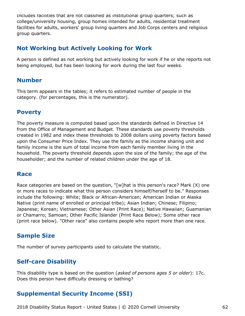Includes facilities that are not classified as institutional group quarters; such as college/university housing, group homes intended for adults, residential treatment facilities for adults, workers' group living quarters and Job Corps centers and religious group quarters.

#### **Not Working but Actively Looking for Work**

A person is defined as not working but actively looking for work if he or she reports not being employed, but has been looking for work during the last four weeks.

#### **Number**

This term appears in the tables; it refers to estimated number of people in the category. (for percentages, this is the numerator).

#### **Poverty**

The poverty measure is computed based upon the standards defined in Directive 14 from the Office of Management and Budget. These standards use poverty thresholds created in 1982 and index these thresholds to 2008 dollars using poverty factors based upon the Consumer Price Index. They use the family as the income sharing unit and family income is the sum of total income from each family member living in the household. The poverty threshold depends upon the size of the family; the age of the householder; and the number of related children under the age of 18.

#### **Race**

Race categories are based on the question, "[w]hat is this person's race? Mark (X) one or more races to indicate what this person considers himself/herself to be." Responses include the following: White; Black or African-American; American Indian or Alaska Native (print name of enrolled or principal tribe); Asian Indian; Chinese; Filipino; Japanese; Korean; Vietnamese; Other Asian (Print Race); Native Hawaiian; Guamanian or Chamarro; Samoan; Other Pacific Islander (Print Race Below); Some other race (print race below). "Other race" also contains people who report more than one race.

#### **Sample Size**

The number of survey participants used to calculate the statistic.

#### **Self-care Disability**

This disability type is based on the question (*asked of persons ages 5 or older*): 17c. Does this person have difficulty dressing or bathing?

## **Supplemental Security Income (SSI)**

2018 Disability Status Report - United States | © 2020 Cornell University 62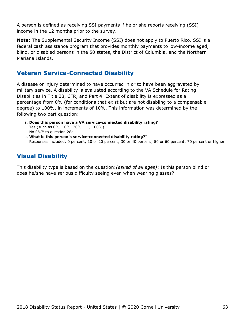A person is defined as receiving SSI payments if he or she reports receiving (SSI) income in the 12 months prior to the survey.

**Note:** The Supplemental Security Income (SSI) does not apply to Puerto Rico. SSI is a federal cash assistance program that provides monthly payments to low-income aged, blind, or disabled persons in the 50 states, the District of Columbia, and the Northern Mariana Islands.

#### **Veteran Service-Connected Disability**

A disease or injury determined to have occurred in or to have been aggravated by military service. A disability is evaluated according to the VA Schedule for Rating Disabilities in Title 38, CFR, and Part 4. Extent of disability is expressed as a percentage from 0% (for conditions that exist but are not disabling to a compensable degree) to 100%, in increments of 10%. This information was determined by the following two part question:

- **Does this person have a VA service-connected disability rating?** a. Yes (such as 0%, 10%, 20%, ... , 100%) No *SKIP* to question 28a
- **What is this person's service-connected disability rating?"** b. Responses included: 0 percent; 10 or 20 percent; 30 or 40 percent; 50 or 60 percent; 70 percent or higher

#### **Visual Disability**

This disability type is based on the question:*(asked of all ages)*: Is this person blind or does he/she have serious difficulty seeing even when wearing glasses?